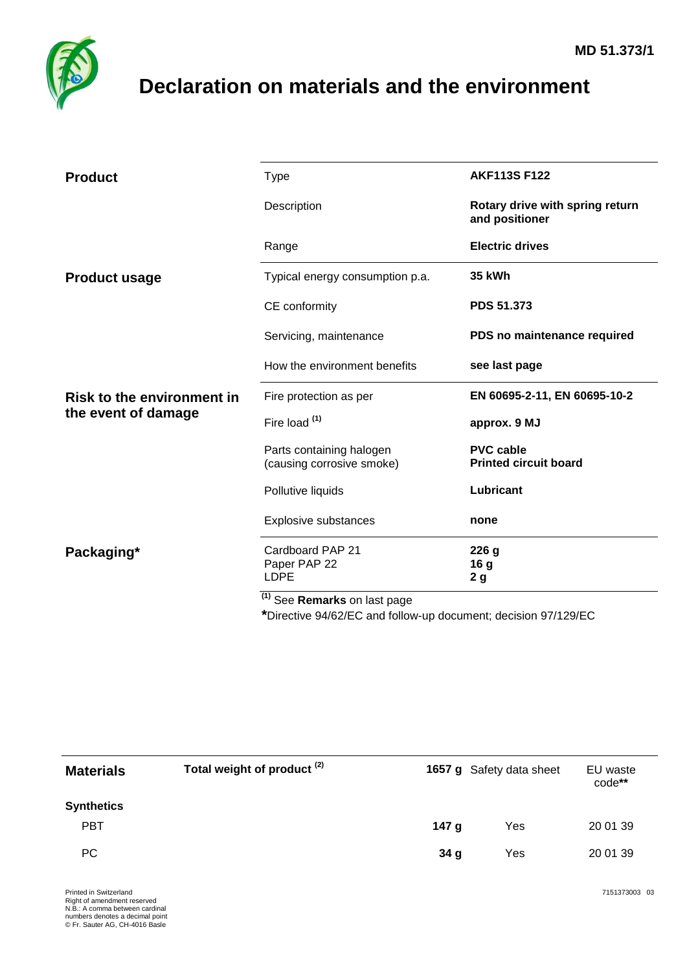

## <span id="page-0-0"></span>**Declaration on materials and the environment**

| <b>Product</b>                                           | <b>Type</b>                                           | <b>AKF113S F122</b>                               |  |
|----------------------------------------------------------|-------------------------------------------------------|---------------------------------------------------|--|
|                                                          | Description                                           | Rotary drive with spring return<br>and positioner |  |
|                                                          | Range                                                 | <b>Electric drives</b>                            |  |
| <b>Product usage</b>                                     | Typical energy consumption p.a.                       | <b>35 kWh</b>                                     |  |
|                                                          | CE conformity                                         | <b>PDS 51.373</b>                                 |  |
|                                                          | Servicing, maintenance                                | PDS no maintenance required                       |  |
|                                                          | How the environment benefits                          | see last page                                     |  |
| <b>Risk to the environment in</b><br>the event of damage | Fire protection as per                                | EN 60695-2-11, EN 60695-10-2                      |  |
|                                                          | Fire load (1)                                         | approx. 9 MJ                                      |  |
|                                                          | Parts containing halogen<br>(causing corrosive smoke) | <b>PVC cable</b><br><b>Printed circuit board</b>  |  |
|                                                          | Pollutive liquids                                     | Lubricant                                         |  |
|                                                          | Explosive substances                                  | none                                              |  |
| Packaging*                                               | Cardboard PAP 21<br>Paper PAP 22<br><b>LDPE</b>       | 226 g<br>16 <sub>g</sub><br>2 <sub>g</sub>        |  |
|                                                          | <sup>(1)</sup> See Remarks on last page               |                                                   |  |

**\***Directive 94/62/EC and follow-up document; decision 97/129/EC

| <b>Materials</b>  | Total weight of product <sup>(2)</sup> | 1657 g Safety data sheet |     | EU waste<br>code** |
|-------------------|----------------------------------------|--------------------------|-----|--------------------|
| <b>Synthetics</b> |                                        |                          |     |                    |
| <b>PBT</b>        |                                        | 147 <sub>g</sub>         | Yes | 20 01 39           |
| PC                |                                        | 34 <sub>g</sub>          | Yes | 20 01 39           |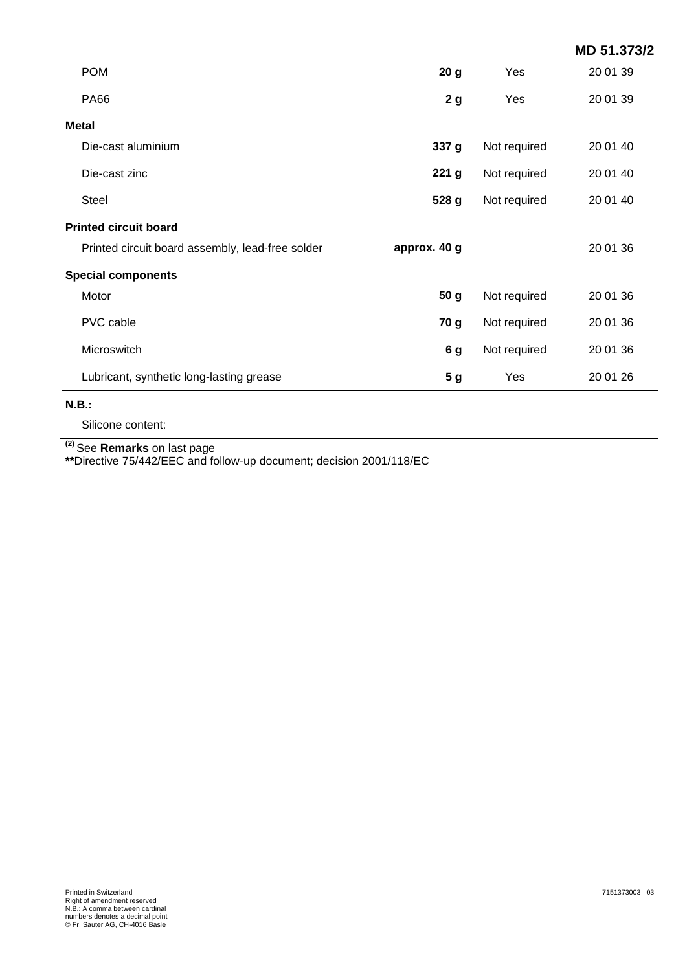|                                                  |                  |              | MD 51.373/2 |  |
|--------------------------------------------------|------------------|--------------|-------------|--|
| <b>POM</b>                                       | 20 <sub>g</sub>  | Yes          | 20 01 39    |  |
| <b>PA66</b>                                      | 2 <sub>g</sub>   | Yes          | 20 01 39    |  |
| <b>Metal</b>                                     |                  |              |             |  |
| Die-cast aluminium                               | 337 g            | Not required | 20 01 40    |  |
| Die-cast zinc                                    | 221 <sub>g</sub> | Not required | 20 01 40    |  |
| Steel                                            | 528 g            | Not required | 20 01 40    |  |
| <b>Printed circuit board</b>                     |                  |              |             |  |
| Printed circuit board assembly, lead-free solder | approx. 40 g     |              | 20 01 36    |  |
| <b>Special components</b>                        |                  |              |             |  |
| Motor                                            | 50 <sub>g</sub>  | Not required | 20 01 36    |  |
| PVC cable                                        | 70 g             | Not required | 20 01 36    |  |
| Microswitch                                      | 6g               | Not required | 20 01 36    |  |
| Lubricant, synthetic long-lasting grease         | 5 <sub>g</sub>   | Yes          | 20 01 26    |  |

## **N.B.:**

Silicone content:

**(2)** See **Remarks** on last page

**\*\***Directive 75/442/EEC and follow-up document; decision 2001/118/EC